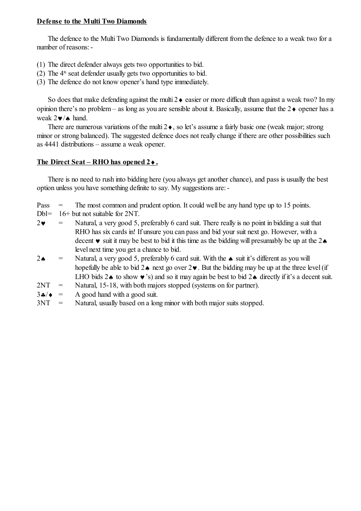## **Defense to the Multi Two Diamonds**

The defence to the Multi Two Diamonds is fundamentally different from the defence to a weak two for a number of reasons:-

- (1) The direct defender always gets two opportunities to bid.
- (2) The  $4<sup>th</sup>$  seat defender usually gets two opportunities to bid.
- (3) The defence do not know opener's hand type immediately.

So does that make defending against the multi  $2 \bullet$  easier or more difficult than against a weak two? In my opinion there's no problem – as long as you are sensible about it. Basically, assume that the  $2\bullet$  opener has a weak  $2\nabla/\mathbf{A}$  hand.

There are numerous variations of the multi  $2\bullet$ , so let's assume a fairly basic one (weak major; strong minor or strong balanced). The suggested defence does not really change if there are other possibilities such as 4441 distributions – assume a weak opener.

# **The Direct Seat – RHO has opened 2.**

There is no need to rush into bidding here (you always get another chance), and pass is usually the best option unless you have something definite to say. My suggestions are:-

Pass  $=$  The most common and prudent option. It could well be any hand type up to 15 points.

- Dbl= 16+ but not suitable for 2NT.
- $2\bullet$  = Natural, a very good 5, preferably 6 card suit. There really is no point in bidding a suit that RHO has six cards in! If unsure you can pass and bid your suit next go. However, with a decent  $\bullet$  suit it may be best to bid it this time as the bidding will presumably be up at the 2 $\bullet$ level next time you get a chance to bid.
- 2.  $\bullet$  = Natural, a very good 5, preferably 6 card suit. With the  $\bullet$  suit it's different as you will hopefully be able to bid  $2\bullet$  next go over  $2\bullet$ . But the bidding may be up at the three level (if LHO bids  $2 \cdot \infty$  to show  $\cdot \infty$ 's) and so it may again be best to bid  $2 \cdot \infty$  directly if it's a decent suit.
- 2NT = Natural, 15-18, with both majors stopped (systems on for partner).
- $3\clubsuit/\bullet$  = A good hand with a good suit.
- 3NT = Natural, usually based on a long minor with both major suits stopped.